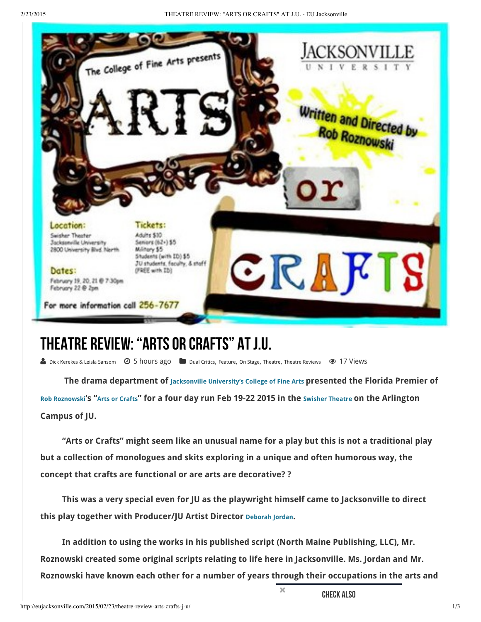

## THEATRE REVIEW: "ARTSOR CRAFTS" ATJ.U.

**A** Dick Kerekes & Leisla [Sansom](http://eujacksonville.com/author/dueling-critics/) **C** 5 hours ago **D** Dual [Critics](http://eujacksonville.com/category/on-stage/theatre/theatre-reviews/dueling-critics/), [Feature](http://eujacksonville.com/category/feature/), On [Stage](http://eujacksonville.com/category/on-stage/), [Theatre](http://eujacksonville.com/category/on-stage/theatre/), Theatre [Reviews](http://eujacksonville.com/category/on-stage/theatre/theatre-reviews/) **C** 17 Views

The drama department of [Jacksonville](http://eujacksonville.com/tag/jacksonville-universitys-college-of-fine-arts/) University's College of Fine Arts presented the Florida Premier of Rob [Roznowski](http://eujacksonville.com/tag/rob-roznowski/)'s "Arts or [Crafts](http://eujacksonville.com/tag/arts-or-crafts/)" for a four day run Feb 19-22 2015 in the Swisher [Theatre](http://eujacksonville.com/tag/swisher-theatre/) on the Arlington Campus of JU.

"Arts or Crafts" might seem like an unusual name for a play but this is not a traditional play but a collection of monologues and skits exploring in a unique and often humorous way, the concept that crafts are functional or are arts are decorative? ?

This was a very special even for JU as the playwright himself came to Jacksonville to direct this play together with Producer/JU Artist Director [Deborah](http://eujacksonville.com/tag/deborah-jordan/) Jordan.

In addition to using the works in his published script (North Maine Publishing, LLC), Mr. Roznowski created some original scripts relating to life here in Jacksonville. Ms. Jordan and Mr. Roznowski have known each other for a number of years through their occupations in the arts and

 $\mathbf{x}$  CHECK ALSO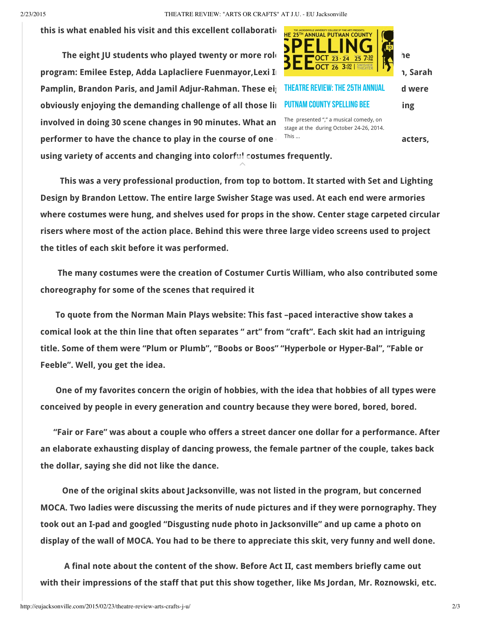this is what enabled his visit and this excellent collaboration and  $\frac{1}{162}$   $\frac{1}{25}$ <sup>TH</sup> ANNUAL PUTMAN COUNTY

The eight JU students who played twenty or more roles  $\overline{I} = \overline{I} \overline{O}$   $\overline{CI}$   $\overline{23}$   $\overline{24}$   $\overline{25}$   $\overline{738}$  the program: Emilee Estep, Adda Laplacliere Fuenmayor,Lexi Inches Controller, Adam Keller, Sarah Pamplin, Brandon Paris, and Jamil Adjur-Rahman. These eight The ATCHEW: THE 25TH ANNUAL due re obviously enjoying the demanding challenge of all those  $I_{\text{II}}$  PUTNAM COUNTY SPELLING BEE ing involved in doing 30 scene changes in 90 minutes. What an performer to have the chance to play in the course of one  $\frac{1}{\text{This}}}$  many different characters,



using variety of accents and changing into colorful costumes frequently.  $\lambda$ 

This was a very professional production, from top to bottom. It started with Set and Lighting Design by Brandon Lettow. The entire large Swisher Stage was used. At each end were armories where costumes were hung, and shelves used for props in the show. Center stage carpeted circular risers where most of the action place. Behind this were three large video screens used to project the titles of each skit before it was performed.

The many costumes were the creation of Costumer Curtis William, who also contributed some choreography for some of the scenes that required it

To quote from the Norman Main Plays website: This fast –paced interactive show takes a comical look at the thin line that often separates " art" from "craft". Each skit had an intriguing title. Some of them were "Plum or Plumb", "Boobs or Boos" "Hyperbole or Hyper-Bal", "Fable or Feeble". Well, you get the idea.

One of my favorites concern the origin of hobbies, with the idea that hobbies of all types were conceived by people in every generation and country because they were bored, bored, bored.

"Fair or Fare" was about a couple who offers a street dancer one dollar for a performance. After an elaborate exhausting display of dancing prowess, the female partner of the couple, takes back the dollar, saying she did not like the dance.

One of the original skits about Jacksonville, was not listed in the program, but concerned MOCA. Two ladies were discussing the merits of nude pictures and if they were pornography. They took out an I-pad and googled "Disgusting nude photo in Jacksonville" and up came a photo on display of the wall of MOCA. You had to be there to appreciate this skit, very funny and well done.

A final note about the content of the show. Before Act II, cast members briefly came out with their impressions of the staff that put this show together, like Ms Jordan, Mr. Roznowski, etc.